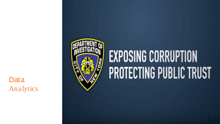# Data Analytics



# **EXPOSING CORRUPTION PROTECTING PUBLIC TRUST**

1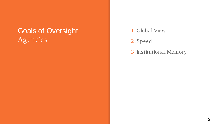# Goals of Oversight Agencies

1. Global View

2. Speed

3.Institutional Memory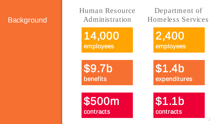#### **Background**

Human Resource Administration

14,000 employees

Department of Homeless Services

> 2,400 employees

\$9.7b benefits

\$500m **contracts** 

\$1.4b expenditures

\$1.1b contracts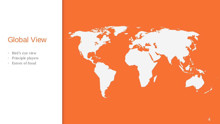#### Global View

- Bird's eye view
- Principle players
- Extent of fraud

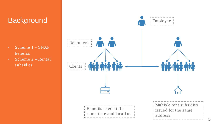#### **Background**

- Scheme 1 SNAP benefits
- $\overline{\text{Scheme 2 Rental}}$

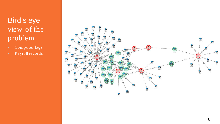# Bird's eye view of the problem

- Computer logs
- Payroll records

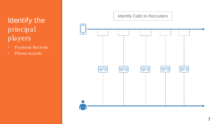Identify the principal players

- Payment Records
- Phone records

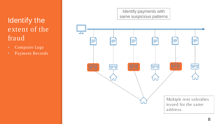# Identify the extent of the fraud

- Computer Logs
- Payment Records



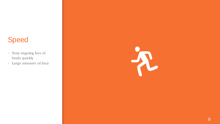#### Speed

- Stop ongoing loss of funds quickly
- Large amounts of data

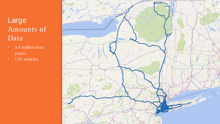# Large Amounts of Data

- **•** 3.4 million data points
- **•** 136 vehicles

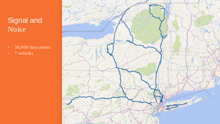# Signal and Noise

- 38,000 data points
- 7 vehicles

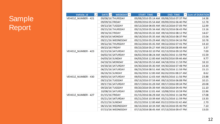| $ +1 $<br>Vehicle_id | DATE $\overline{u}$<br>WEEKDAY $\overline{\mathbf{y}}$ | <b>START TIME</b><br>$\overline{\phantom{0}}$ | <b>END TIME</b>                         | $\triangleright$ Sum of DURATION |
|----------------------|--------------------------------------------------------|-----------------------------------------------|-----------------------------------------|----------------------------------|
| VEHICLE NUMBER - 421 | 09/08/16 THURSDAY                                      |                                               | 09/08/2016 05:14 AM 09/08/2016 07:37 PM | 14.38                            |
|                      | 09/09/16 FRIDAY                                        |                                               | 09/09/2016 05:54 AM 09/09/2016 06:40 PM | 12.78                            |
|                      | 09/13/16 TUESDAY                                       |                                               | 09/13/2016 06:05 AM 09/13/2016 07:05 PM | 12.99                            |
|                      | 09/15/16 THURSDAY                                      |                                               | 09/15/2016 05:34 AM 09/15/2016 06:43 PM | 13.16                            |
|                      | 09/16/16 FRIDAY                                        |                                               | 09/16/2016 05:32 AM 09/16/2016 08:12 PM | 14.67                            |
|                      | 09/19/16 MONDAY                                        |                                               | 09/19/2016 05:35 AM 09/19/2016 08:37 PM | 15.04                            |
|                      | 09/21/16 WEDNESDAY                                     |                                               | 09/21/2016 05:29 AM 09/21/2016 04:16 PM | 10.78                            |
|                      | 09/22/16 THURSDAY                                      |                                               | 09/22/2016 05:35 AM 09/22/2016 07:41 PM | 14.10                            |
|                      | 09/23/16 FRIDAY                                        |                                               | 09/23/2016 05:27 AM 09/23/2016 08:49 AM | 3.37                             |
| VEHICLE NUMBER - 423 | 02/13/16 SATURDAY                                      |                                               | 02/13/2016 02:10 PM 02/13/2016 09:10 PM | 7.00                             |
|                      | 04/02/16 SATURDAY                                      |                                               | 04/02/2016 08:24 AM 04/02/2016 11:59 PM | 15.59                            |
|                      | 04/03/16 SUNDAY                                        |                                               | 04/03/2016 12:00 AM 04/03/2016 09:46 AM | 9.77                             |
|                      | 04/18/16 MONDAY                                        |                                               | 04/18/2016 05:53 AM 04/18/2016 11:59 PM | 18.10                            |
|                      | 04/30/16 SATURDAY                                      |                                               | 04/30/2016 05:30 AM 04/30/2016 07:48 PM | 14.30                            |
|                      | 06/25/16 SATURDAY                                      |                                               | 06/25/2016 08:51 AM 06/25/2016 11:59 PM | 15.13                            |
|                      | 06/26/16 SUNDAY                                        |                                               | 06/26/2016 12:00 AM 06/26/2016 08:37 AM | 8.62                             |
| VEHICLE NUMBER - 430 | 09/03/16 SATURDAY                                      |                                               | 09/03/2016 12:03 AM 09/03/2016 11:56 PM | 23.88                            |
|                      | 09/13/16 TUESDAY                                       |                                               | 09/13/2016 07:59 AM 09/13/2016 06:08 PM | 10.15                            |
|                      | 09/17/16 SATURDAY                                      |                                               | 09/17/2016 01:29 AM 09/17/2016 09:34 PM | 20.08                            |
|                      | 09/20/16 TUESDAY                                       |                                               | 09/20/2016 05:39 AM 09/20/2016 04:45 PM | 11.10                            |
|                      | 10/08/16 SATURDAY                                      |                                               | 10/08/2016 12:01 AM 10/08/2016 10:59 PM | 22.96                            |
| VEHICLE NUMBER - 427 | 01/15/16 FRIDAY                                        |                                               | 01/15/2016 06:29 AM 01/15/2016 11:34 PM | 17.08                            |
|                      | 05/21/16 SATURDAY                                      |                                               | 05/21/2016 10:39 AM 05/21/2016 11:59 PM | 13.33                            |
|                      | 05/22/16 SUNDAY                                        |                                               | 05/22/2016 12:00 AM 05/22/2016 02:42 AM | 2.70                             |
|                      | 06/15/16 WEDNESDAY                                     |                                               | 06/15/2016 10:34 AM 06/15/2016 05:40 PM | 7.10                             |
|                      | 07/13/16 WEDNESDAY                                     |                                               | 07/13/2016 08:45 AM 07/13/2016 09:47 PM | 13.03                            |

# **Sample** Report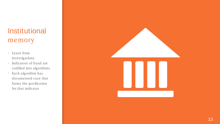# Institutional memory

- Learn from investigations
- Indicators of fraud are codified into algorithms
- Each algorithm has documented case that forms the justification for that indicator

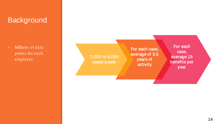#### **Background**

▪ Millions of data points for each employee

For each case, average of 3.5 years of activity For each case, average 15 benefits per year 2,000 to 6,000 cases a year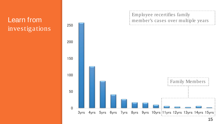#### Learn from investigations

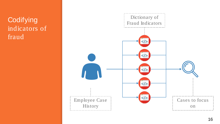**Codifying** indicators of fraud

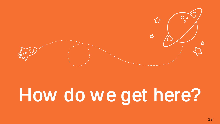

# How do we get here?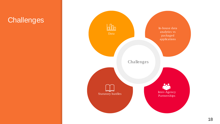#### **Challenges**